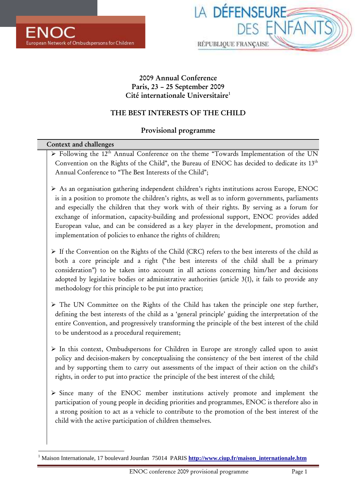

# **2009 Annual Conference Paris, 23 – 25 September 2009 Cité internationale Universitaire<sup>1</sup>**

# **THE BEST INTERESTS OF THE CHILD**

# **Provisional programme**

| Context and challenges |                                                                                                                                                                                                                                                                                                                                                                                                                                                                                                                                                         |  |  |
|------------------------|---------------------------------------------------------------------------------------------------------------------------------------------------------------------------------------------------------------------------------------------------------------------------------------------------------------------------------------------------------------------------------------------------------------------------------------------------------------------------------------------------------------------------------------------------------|--|--|
|                        | > Following the 12 <sup>th</sup> Annual Conference on the theme "Towards Implementation of the UN<br>Convention on the Rights of the Child", the Bureau of ENOC has decided to dedicate its 13th<br>Annual Conference to "The Best Interests of the Child";                                                                                                                                                                                                                                                                                             |  |  |
|                        | > As an organisation gathering independent children's rights institutions across Europe, ENOC<br>is in a position to promote the children's rights, as well as to inform governments, parliaments<br>and especially the children that they work with of their rights. By serving as a forum for<br>exchange of information, capacity-building and professional support, ENOC provides added<br>European value, and can be considered as a key player in the development, promotion and<br>implementation of policies to enhance the rights of children; |  |  |
|                        | > If the Convention on the Rights of the Child (CRC) refers to the best interests of the child as<br>both a core principle and a right ("the best interests of the child shall be a primary<br>consideration") to be taken into account in all actions concerning him/her and decisions<br>adopted by legislative bodies or administrative authorities (article 3(1), it fails to provide any<br>methodology for this principle to be put into practice;                                                                                                |  |  |
|                        | > The UN Committee on the Rights of the Child has taken the principle one step further,<br>defining the best interests of the child as a 'general principle' guiding the interpretation of the<br>entire Convention, and progressively transforming the principle of the best interest of the child<br>to be understood as a procedural requirement;                                                                                                                                                                                                    |  |  |
|                        | > In this context, Ombudspersons for Children in Europe are strongly called upon to assist<br>policy and decision-makers by conceptualising the consistency of the best interest of the child<br>and by supporting them to carry out assessments of the impact of their action on the child's<br>rights, in order to put into practice the principle of the best interest of the child;                                                                                                                                                                 |  |  |
|                        | > Since many of the ENOC member institutions actively promote and implement the<br>participation of young people in deciding priorities and programmes, ENOC is therefore also in<br>a strong position to act as a vehicle to contribute to the promotion of the best interest of the<br>child with the active participation of children themselves.                                                                                                                                                                                                    |  |  |
|                        |                                                                                                                                                                                                                                                                                                                                                                                                                                                                                                                                                         |  |  |

 1 Maison Internationale, 17 boulevard Jourdan 75014 PARIS **http://www.ciup.fr/maison\_internationale.htm**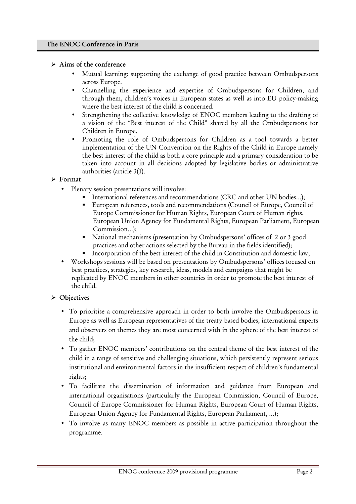### **The ENOC Conference in Paris**

### **Aims of the conference**

- Mutual learning: supporting the exchange of good practice between Ombudspersons across Europe.
- Channelling the experience and expertise of Ombudspersons for Children, and through them, children's voices in European states as well as into EU policy-making where the best interest of the child is concerned.
- Strengthening the collective knowledge of ENOC members leading to the drafting of a vision of the "Best interest of the Child" shared by all the Ombudspersons for Children in Europe.
- Promoting the role of Ombudspersons for Children as a tool towards a better implementation of the UN Convention on the Rights of the Child in Europe namely the best interest of the child as both a core principle and a primary consideration to be taken into account in all decisions adopted by legislative bodies or administrative authorities (article 3(1).

### **Format**

- Plenary session presentations will involve:
	- $\blacksquare$  International references and recommendations (CRC and other UN bodies...);
	- - European references, tools and recommendations (Council of Europe, Council of Europe Commissioner for Human Rights, European Court of Human rights, European Union Agency for Fundamental Rights, European Parliament, European Commission…);
	- National mechanisms (presentation by Ombudspersons' offices of 2 or 3 good practices and other actions selected by the Bureau in the fields identified);
	- Incorporation of the best interest of the child in Constitution and domestic law;
- Workshops sessions will be based on presentations by Ombudspersons' offices focused on best practices, strategies, key research, ideas, models and campaigns that might be replicated by ENOC members in other countries in order to promote the best interest of the child.

# **Objectives**

- To prioritise a comprehensive approach in order to both involve the Ombudspersons in Europe as well as European representatives of the treaty based bodies, international experts and observers on themes they are most concerned with in the sphere of the best interest of the child;
- To gather ENOC members' contributions on the central theme of the best interest of the child in a range of sensitive and challenging situations, which persistently represent serious institutional and environmental factors in the insufficient respect of children's fundamental rights;
- To facilitate the dissemination of information and guidance from European and international organisations (particularly the European Commission, Council of Europe, Council of Europe Commissioner for Human Rights, European Court of Human Rights, European Union Agency for Fundamental Rights, European Parliament, …);
- To involve as many ENOC members as possible in active participation throughout the programme.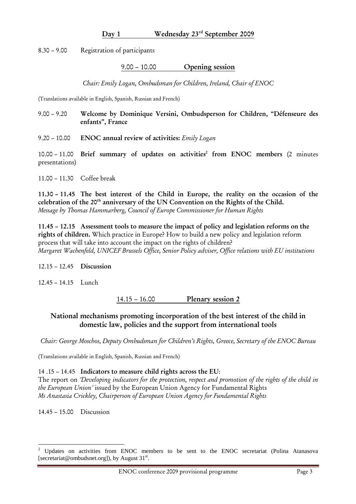### **Day 1 Wednesday 23rd September 2009**

8.30 – 9.00 Registration of participants

### 9.00 – 10.00 **Opening session**

*Chair: Emily Logan, Ombudsman for Children, Ireland, Chair of ENOC* 

(Translations available in English, Spanish, Russian and French)

- 9.00 9.20 **Welcome by Dominique Versini, Ombudsperson for Children, "Défenseure des enfants", France**
- 9.20 10.00 **ENOC annual review of activities:** *Emily Logan*

10.00 – 11.00 **Brief summary of updates on activities<sup>2</sup> from ENOC members** (2 minutes presentations)

11.00 – 11.30 Coffee break

**11.30 – 11.45 The best interest of the Child in Europe, the reality on the occasion of the celebration of the 20th anniversary of the UN Convention on the Rights of the Child.**  *Message by Thomas Hammarberg, Council of Europe Commissioner for Human Rights*

**11.45 – 12.15 Assessment tools to measure the impact of policy and legislation reforms on the rights of children.** Which practice in Europe? How to build a new policy and legislation reform process that will take into account the impact on the rights of children? *Margaret Wachenfeld, UNICEF Brussels Office, Senior Policy adviser, Office relations with EU institutions*

### 12.15 – 12.45 **Discussion**

12.45 – 14.15 Lunch

14.15 – 16.00 **Plenary session 2**

# **National mechanisms promoting incorporation of the best interest of the child in domestic law, policies and the support from international tools**

*Chair: George Moschos, Deputy Ombudsman for Children's Rights, Greece, Secretary of the ENOC Bureau* 

(Translations available in English, Spanish, Russian and French)

14 .15 – 14.45 **Indicators to measure child rights across the EU**:

The report on *'Developing indicators for the protection, respect and promotion of the rights of the child in the European Union'* issued by the European Union Agency for Fundamental Rights *Ms Anastasia Crickley, Chairperson of European Union Agency for Fundamental Rights* 

14.45 – 15.00 Discussion

 $\overline{a}$ 

<sup>&</sup>lt;sup>2</sup> Updates on activities from ENOC members to be sent to the ENOC secretariat (Polina Atanasova [secretariat@ombudsnet.org]), by August 31<sup>st</sup>.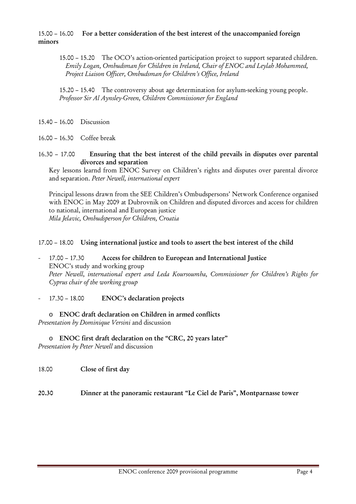15.00 – 16.00 **For a better consideration of the best interest of the unaccompanied foreign minors** 

15.00 – 15.20 The OCO's action-oriented participation project to support separated children. *Emily Logan, Ombudsman for Children in Ireland, Chair of ENOC and Leylah Mohammed, Project Liaison Officer, Ombudsman for Children's Office, Ireland* 

15.20 – 15.40 The controversy about age determination for asylum-seeking young people. *Professor Sir Al Aynsley-Green, Children Commissioner for England* 

15.40 – 16.00 Discussion

16.00 – 16.30 Coffee break

16.30 – 17.00 **Ensuring that the best interest of the child prevails in disputes over parental divorces and separation**

Key lessons learnd from ENOC Survey on Children's rights and disputes over parental divorce and separation. *Peter Newell, international expert*

Principal lessons drawn from the SEE Children's Ombudspersons' Network Conference organised with ENOC in May 2009 at Dubrovnik on Children and disputed divorces and access for children to national, international and European justice *Mila Jelavic, Ombudsperson for Children, Croatia* 

### 17.00 – 18.00 **Using international justice and tools to assert the best interest of the child**

- ‐ 17.00 17.30 **Access for children to European and International Justice**  ENOC's study and working group *Peter Newell, international expert and Leda Koursoumba, Commissioner for Children's Rights for Cyprus chair of the working group*
- ‐ 17.30 18.00 **ENOC's declaration projects**

o **ENOC draft declaration on Children in armed conflicts**  *Presentation by Dominique Versini* and discussion

- o **ENOC first draft declaration on the "CRC, 20 years later"**  *Presentation by Peter Newell* and discussion
- 18.00 **Close of first day**

**20.30 Dinner at the panoramic restaurant "Le Ciel de Paris", Montparnasse tower**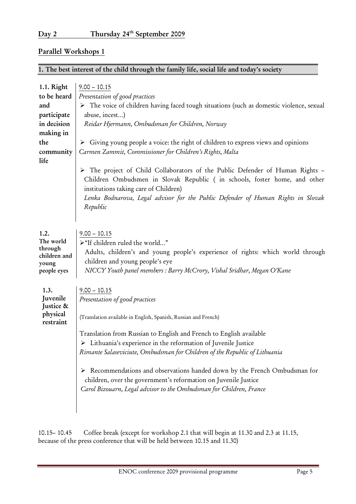# **Parallel Workshops 1**

# **1. The best interest of the child through the family life, social life and today's society**

| 1.1. Right                                                           | $9.00 - 10.15$                                                                                                                                                                                                                                                                                      |
|----------------------------------------------------------------------|-----------------------------------------------------------------------------------------------------------------------------------------------------------------------------------------------------------------------------------------------------------------------------------------------------|
| to be heard                                                          | Presentation of good practices                                                                                                                                                                                                                                                                      |
| and                                                                  | > The voice of children having faced tough situations (such as domestic violence, sexual                                                                                                                                                                                                            |
| participate                                                          | abuse, incest)                                                                                                                                                                                                                                                                                      |
| in decision                                                          | Reidar Hjermann, Ombudsman for Children, Norway                                                                                                                                                                                                                                                     |
| making in                                                            |                                                                                                                                                                                                                                                                                                     |
| the                                                                  | > Giving young people a voice: the right of children to express views and opinions                                                                                                                                                                                                                  |
| community                                                            | Carmen Zammit, Commissioner for Children's Rights, Malta                                                                                                                                                                                                                                            |
| life                                                                 |                                                                                                                                                                                                                                                                                                     |
|                                                                      | > The project of Child Collaborators of the Public Defender of Human Rights -<br>Children Ombudsmen in Slovak Republic (in schools, foster home, and other<br>institutions taking care of Children)<br>Lenka Bodnarova, Legal advisor for the Public Defender of Human Rights in Slovak<br>Republic |
| 1.2.<br>The world<br>through<br>children and<br>young<br>people eyes | $9.00 - 10.15$<br>>"If children ruled the world"<br>Adults, children's and young people's experience of rights: which world through<br>children and young people's eye<br>NICCY Youth panel members : Barry McCrory, Vishal Sridhar, Megan O'Kane                                                   |
| 1.3.<br>Juvenile<br>Justice &                                        | $9.00 - 10.15$<br>Presentation of good practices                                                                                                                                                                                                                                                    |
| physical<br>restraint                                                | (Translation available in English, Spanish, Russian and French)                                                                                                                                                                                                                                     |
|                                                                      | Translation from Russian to English and French to English available<br>$\triangleright$ Lithuania's experience in the reformation of Juvenile Justice<br>Rimante Salaseviciute, Ombudsman for Children of the Republic of Lithuania                                                                 |
|                                                                      | Recommendations and observations handed down by the French Ombudsman for<br>➤<br>children, over the government's reformation on Juvenile Justice<br>Carol Bizouarn, Legal advisor to the Ombudsman for Children, France                                                                             |

10.15– 10.45 Coffee break (except for workshop 2.1 that will begin at 11.30 and 2.3 at 11.15, because of the press conference that will be held between 10.15 and 11.30)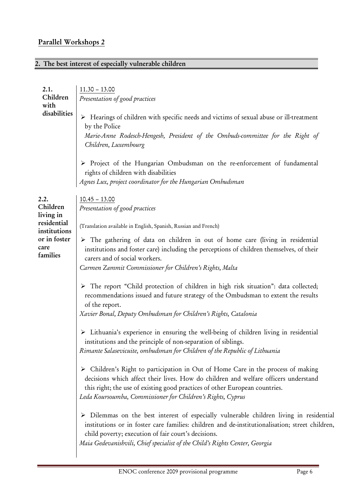# **Parallel Workshops 2**

# **2. The best interest of especially vulnerable children**

| 2.1.<br>Children<br>with<br>disabilities                                                         | $11.30 - 13.00$<br>Presentation of good practices<br>> Hearings of children with specific needs and victims of sexual abuse or ill-treatment<br>by the Police<br>Marie-Anne Rodesch-Hengesh, President of the Ombuds-committee for the Right of<br>Children, Luxembourg<br>> Project of the Hungarian Ombudsman on the re-enforcement of fundamental<br>rights of children with disabilities<br>Agnes Lux, project coordinator for the Hungarian Ombudsman                                                                                                                                                                                                                                                                                                                                                                                                                                                                                                                                                                                                                                                                                                                                                                                                                                                                                                                                                                                                                                                                                                                          |
|--------------------------------------------------------------------------------------------------|-------------------------------------------------------------------------------------------------------------------------------------------------------------------------------------------------------------------------------------------------------------------------------------------------------------------------------------------------------------------------------------------------------------------------------------------------------------------------------------------------------------------------------------------------------------------------------------------------------------------------------------------------------------------------------------------------------------------------------------------------------------------------------------------------------------------------------------------------------------------------------------------------------------------------------------------------------------------------------------------------------------------------------------------------------------------------------------------------------------------------------------------------------------------------------------------------------------------------------------------------------------------------------------------------------------------------------------------------------------------------------------------------------------------------------------------------------------------------------------------------------------------------------------------------------------------------------------|
| 2.2.<br>Children<br>living in<br>residential<br>institutions<br>or in foster<br>care<br>families | $10.45 - 13.00$<br>Presentation of good practices<br>(Translation available in English, Spanish, Russian and French)<br>$\triangleright$ The gathering of data on children in out of home care (living in residential<br>institutions and foster care) including the perceptions of children themselves, of their<br>carers and of social workers.<br>Carmen Zammit Commissioner for Children's Rights, Malta<br>> The report "Child protection of children in high risk situation": data collected;<br>recommendations issued and future strategy of the Ombudsman to extent the results<br>of the report.<br>Xavier Bonal, Deputy Ombudsman for Children's Rights, Catalonia<br>> Lithuania's experience in ensuring the well-being of children living in residential<br>institutions and the principle of non-separation of siblings.<br>Rimante Salasevicuite, ombudsman for Children of the Republic of Lithuania<br>> Children's Right to participation in Out of Home Care in the process of making<br>decisions which affect their lives. How do children and welfare officers understand<br>this right; the use of existing good practices of other European countries.<br>Leda Koursoumba, Commissioner for Children's Rights, Cyprus<br>> Dilemmas on the best interest of especially vulnerable children living in residential<br>institutions or in foster care families: children and de-institutionalisation; street children,<br>child poverty; execution of fair court's decisions.<br>Maia Gedevanishvili, Chief specialist of the Child's Rights Center, Georgia |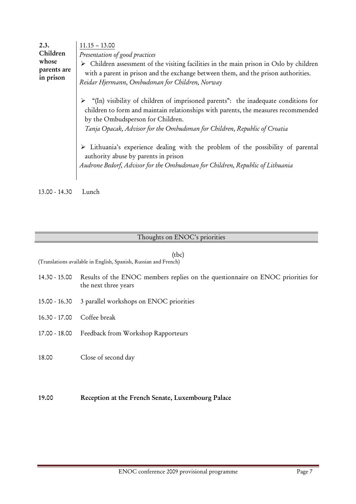| 2.3.<br>Children<br>whose<br>parents are<br>in prison | $11.15 - 13.00$<br>Presentation of good practices<br>$\triangleright$ Children assessment of the visiting facilities in the main prison in Oslo by children<br>with a parent in prison and the exchange between them, and the prison authorities.<br>Reidar Hjermann, Ombudsman for Children, Norway |
|-------------------------------------------------------|------------------------------------------------------------------------------------------------------------------------------------------------------------------------------------------------------------------------------------------------------------------------------------------------------|
|                                                       | "(In) visibility of children of imprisoned parents": the inadequate conditions for<br>children to form and maintain relationships with parents, the measures recommended<br>by the Ombudsperson for Children.<br>Tanja Opacak, Advisor for the Ombudsman for Children, Republic of Croatia           |
|                                                       | > Lithuania's experience dealing with the problem of the possibility of parental<br>authority abuse by parents in prison<br>Audrone Bedorf, Advisor for the Ombudsman for Children, Republic of Lithuania                                                                                            |

13.00 - 14.30 Lunch

### Thoughts on ENOC's priorities

### (tbc)

(Translations available in English, Spanish, Russian and French)

- 14.30 15.00 Results of the ENOC members replies on the questionnaire on ENOC priorities for the next three years
- 15.00 16.30 3 parallel workshops on ENOC priorities
- 16.30 17.00 Coffee break
- 17.00 18.00 Feedback from Workshop Rapporteurs
- 18.00 Close of second day

## **19.00 Reception at the French Senate, Luxembourg Palace**